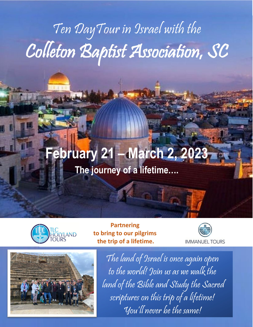# Ten DayTour in Israel with the Colleton Baptist Association, SC

# **February 21 – March 2, 20 The journey of a lifetime….**



**Partnering to bring to our pilgrims the trip of a lifetime.**





The land of Israel is once again open to the world! Join us as we walk the land of the Bible and Study the Sacred scriptures on this trip of a lifetime! You'll never be the same!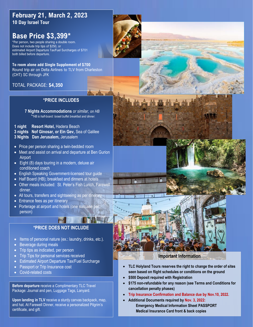# . **February 21, March 2, 2023 10 Day Israel Tour**

# **Base Price \$3,399\***

\*Per person, two people sharing a double room. Does not include trip tips of \$250, or estimated Airport Departure Tax/Fuel Surcharges of \$701 both billed before departure.

**To room alone add Single Supplement of \$700** Round trip air on Delta Airlines to TLV from Charleston (CHT) SC through JFK

### TOTAL PACKAGE: **\$4,350**

#### **\*PRICE INCLUDES**

**7 Nights Accommodations** *or similar, on HB \*\*HB is half-board: Israeli buffet breakfast and dinner.*

**1 night Resort Hotel,** Hadera Beach **3 nights Nof Ginosar, or Ein Gev,** Sea of Galilee **3 Nights Dan Jerusalem,** Jerusalem

- Price per person sharing a twin-bedded room
- Meet and assist on arrival and departure at Ben Gurion **Airport**
- Eight (8) days touring in a modern, deluxe air conditioned coach
- English Speaking Government-licensed tour guide
- Half Board (HB); breakfast and dinners at hotels
- Other meals included: St. Peter's Fish Lunch, Farewell dinner.
- All tours, transfers and sightseeing as per itinerary
- Entrance fees as per itinerary
- Porterage at airport and hotels (one suitcase person)

## **\*PRICE DOES NOT INCLUDE**

11 1.1

- Items of personal nature (ex.: laundry, drinks, etc.).
- Beverage during meals
- Trip tips as indicated, per person
- Trip Tips for personal services received
- Estimated Airport Departure Tax/Fuel Surcharge
- **Passport or Trip Insurance cost**
- Covid-related costs

**Before departure** receive a Complimentary TLC Travel Package: Journal and pen, Luggage Tags, Lanyard.

**Upon landing in TLV** receive a sturdy canvas backpack, map, and hat. At Farewell Dinner, receive a personalized Pilgrim's certificate, and gift.





#### **Important Information**

- **TLC Holyland Tours reserves the right to change the order of sites seen based on flight schedules or conditions on the ground**
- **\$500 Deposit required with Registration**
- **\$175 non-refundable for any reason (see Terms and Conditions for cancellation penalty phases)**
- **Trip Insurance Confirmation and Balance due by Nov.10, 2022.**
- **Additional Documents required by Nov. 3, 2022: Emergency Medical Information Sheet PASSPORT Medical Insurance Card front & back copies**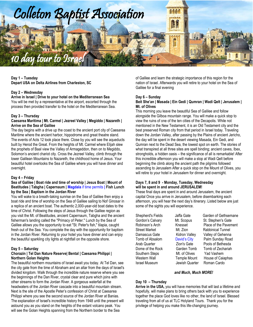

**Day 1 – Tuesday Depart USA on Delta Airlines from Charleston, SC**

#### **Day 2 – Wednesday**

**Arrive in Israel | Drive to your hotel on the Mediterranean Sea** You will be met by a representative at the airport, escorted through the process then provided transfer to the hotel on the Mediterranean Sea.

#### **Day 3 – Thursday**

#### **Caesarea Maritima | Mt. Carmel | Jezreel Valley | Megiddo | Nazareth | Arrive on the Sea of Galilee**

The day begins with a drive up the coast to the ancient port city of Caesarea Maritime where the ancient harbor, hippodrome and great theatre stand. The events of Acts 12 took place there. Close by you will see the aqueducts built by Herod the Great. From the heights of Mt. Carmel where Elijah slew the prophets of Baal view the Valley of Armageddon, then on to Megiddo, Solomon's ancient chariot city. Cross the Jezreel Valley, climb through the lower Galilean Mountains to Nazareth, the childhood home of Jesus. Your beautiful hotel overlooks the Sea of Galilee where you will have dinner and overnight.

#### **Day 4 – Friday**

#### **Sea of Galilee | Boat ride and time of worship | Jesus Boat | Mount of Beatitudes | Tabgha | Capernaum | Magdala** if time permits **| Fish Lunch by the Sea | Baptism in the Jordan River**

You will wake to a breath-taking sunrise on the Sea of Galilee then enjoy a boat ride and time of worship on the Sea of Galilee sailing to Nof Ginosar in a replica of an ancient boat. The authentic 2,000-year-old boat dates to the time of Christ. Following the steps of Jesus through the Galilee region as you visit the Mt. of Beatitudes, ancient Capernaum, Tabgha and the ancient fisherman's landing called the "Primacy of Peter." Lunch by the Sea of Galilee allows you the opportunity to eat "St. Peter's fish," tilapia, caught fresh out of the Sea. You complete the day with the opportunity for baptism in the Jordan River. Returning to your hotel you have dinner and can enjoy the beautiful sparkling city lights at nightfall on the opposite shore.

#### **Day 5 – Saturday**

#### **Chorazin | Tel Dan Nature Reserve| Bental | Caesarea Philippi | Northern Golan Heights**

The beautiful northern mountains of Israel await you today. At Tel Dan, see the city gate from the time of Abraham and an altar from the days of Israel's divided kingdom. Walk through the incredible nature reserve where you see the beginnings of the Dan River, crystal clear and pure which joins with other streams to form the Jordan River. A gorgeous waterfall at the headwaters of the Jordan River cascade into a beautiful mountain stream. Next is the site of the Apostle Peter's confession of Christ at Caesarea Philippi where you see the second source of the Jordan River at Banias. The explanation of Israel's incredible history from 1948 until the present will astound you as you stand on the heights of the extant volcano peak. You will see the Golan Heights spanning from the Northern border to the Sea

of Galilee and learn the strategic importance of this region for the nation of Israel. Afterwards you will retire to your hotel on the Sea of Galilee for a final evening

#### **Day 6 – Sunday**

#### **Beit She'an | Masada | Ein Gedi | Qumran | Wadi Qelt | Jerusalem | Mt. of Olives**

This morning you leave the beautiful Sea of Galilee and follow alongside the Gilboa mountain range. You will make a quick stop to view the ruins of one of the ten cities of the Decapolis. While not mentioned in the New Testament, it is an Old Testament city and the best preserved Roman city from that period in Israel today. Traveling down the Jordan Valley, after passing by the Plains of ancient Jericho, the day will be spent in the desert viewing Masada, Ein Gedi, and Qumran next to the Dead Sea, the lowest spot on earth. The stories of what transpired at all three sites are spell binding; ancient caves, Ibex, strongholds, a hidden oasis – the significance of all is remarkable! After this incredible afternoon you will make a stop at Wadi Qelt before beginning the climb along the ancient path the pilgrims followed ascending to Jerusalem After a quick stop on the Mount of Olives, you will retire to your hotel in Jerusalem for dinner and overnight.

#### **Days 7, 8 and 9 - Monday, Tuesday, Wednesday will be spent in and around JERUSALEM!**

These final days are spent in and around Jerusalem, the ancient capital Once you arrive in Jerusalem, before disembarking each afternoon, you will hear the next day's itinerary. Listed below are just some of the sights you will experience.

Street Market Mut. Zion Rabbinical Tunnel Southern Steps Mt. of Olives Yad Vashem Israel Museum Jewish Quarter Roman Cardo

Shepherd's Fields Jaffa Gate Garden of Gethsemane Gordon's Calvary Mt. Scopus St. Stephen's Gate Robinson's Arch Knesset Place of the Pavement Damascus Gate Kidron Valley Valley of Gehenna Tomb of Absalom David's City Palm Sunday Road<br>Arab Quarter Tion's Gate Pools of Bethesda Arab Quarter Zion's Gate Pools of Bethesda Dome of the Rock Garden Tomb Tomb of Zechariah Western Wall **Temple Mount** House of Caiaphas

#### *and Much, Much MORE!*

#### **Day 10 – Thursday**

**Arrive in the USA,** you will have memories that will last a lifetime and hopefully, will make plans to bring others back with you to experience together the place God loves like no other, the land of Israel. Blessed traveling from all of us at TLC Holyland Tours. Thank you for the privilege of helping you make this life-changing journey.